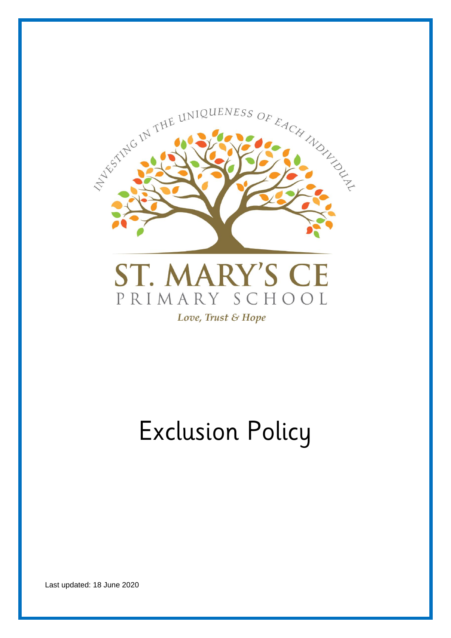

# Exclusion Policy

Last updated: 18 June 2020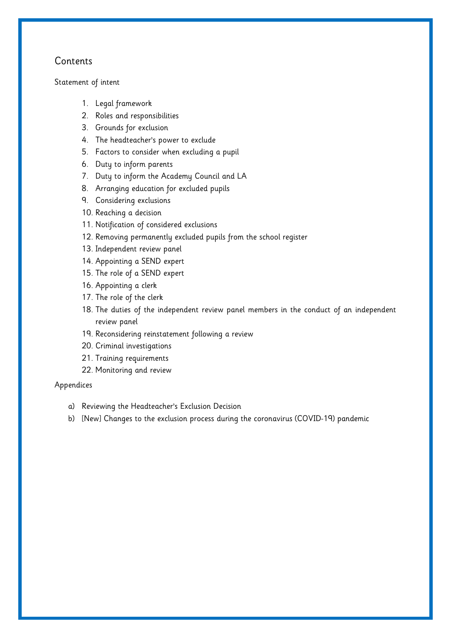# Contents

#### [Statement of intent](#page-2-0)

- 1. [Legal framework](#page-3-0)
- 2. [Roles and responsibilities](#page-3-1)
- 3. [Grounds for exclusion](#page-6-0)
- 4. [The headteacher's power to exclude](#page-6-1)
- 5. [Factors to consider when excluding a pupil](#page-7-0)
- 6. [Duty to inform parents](#page-8-0)
- 7. [Duty to inform the Academy Council](#page-9-0) and LA
- 8. [Arranging education for excluded pupils](#page-10-0)
- 9. [Considering exclusions](#page-10-1)
- 10. [Reaching a decision](#page-11-0)
- 11. [Notification of considered exclusions](#page-12-0)
- 12. [Removing permanently excluded pupils from the school register](#page-13-0)
- 13. [Independent review panel](#page-14-0)
- 14. [Appointing a SEND expert](#page-14-1)
- 15. [The role of a SEND expert](#page-15-0)
- 16. [Appointing a clerk](#page-16-0)
- 17. [The role of the clerk](#page-16-1)
- 18. [The duties of the independent review panel members in the conduct of an independent](#page-16-2)  [review panel](#page-16-2)
- 19. [Reconsidering reinstatement following a review](#page-17-0)
- 20. [Criminal investigations](#page-17-1)
- 21. [Training requirements](#page-18-0)
- 22. [Monitoring and review](#page-18-1)

#### Appendices

- a) [Reviewing the Headteacher's Exclusion Decision](#page-19-0)
- b) [New] [Changes to the exclusion process during the coronavirus \(COVID-19\) pandemic](#page-19-1)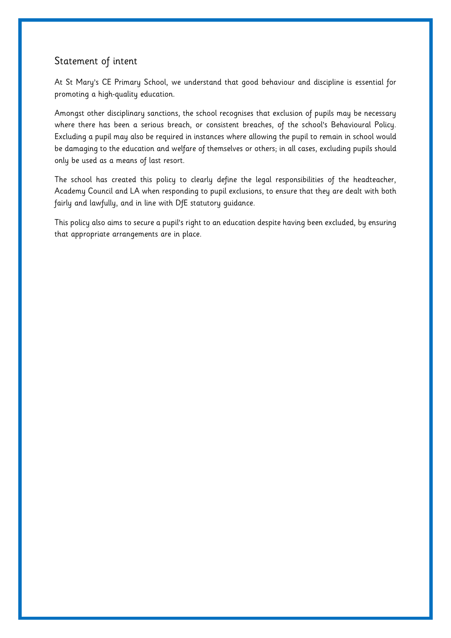# <span id="page-2-0"></span>Statement of intent

At St Mary's CE Primary School, we understand that good behaviour and discipline is essential for promoting a high-quality education.

Amongst other disciplinary sanctions, the school recognises that exclusion of pupils may be necessary where there has been a serious breach, or consistent breaches, of the school's Behavioural Policy. Excluding a pupil may also be required in instances where allowing the pupil to remain in school would be damaging to the education and welfare of themselves or others; in all cases, excluding pupils should only be used as a means of last resort.

The school has created this policy to clearly define the legal responsibilities of the headteacher, Academy Council and LA when responding to pupil exclusions, to ensure that they are dealt with both fairly and lawfully, and in line with DfE statutory guidance.

This policy also aims to secure a pupil's right to an education despite having been excluded, by ensuring that appropriate arrangements are in place.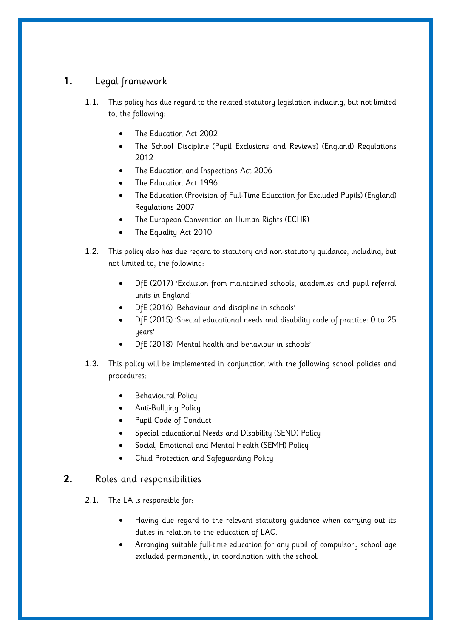# <span id="page-3-0"></span>**1.** Legal framework

- 1.1. This policy has due regard to the related statutory legislation including, but not limited to, the following:
	- The Education Act 2002
	- The School Discipline (Pupil Exclusions and Reviews) (England) Regulations 2012
	- The Education and Inspections Act 2006
	- The Education Act 1996
	- The Education (Provision of Full-Time Education for Excluded Pupils) (England) Regulations 2007
	- The European Convention on Human Rights (ECHR)
	- The Equality Act 2010
- 1.2. This policy also has due regard to statutory and non-statutory guidance, including, but not limited to, the following:
	- DfE (2017) 'Exclusion from maintained schools, academies and pupil referral units in England'
	- DfE (2016) 'Behaviour and discipline in schools'
	- DfE (2015) 'Special educational needs and disability code of practice: 0 to 25 years'
	- DfE (2018) 'Mental health and behaviour in schools'
- 1.3. This policy will be implemented in conjunction with the following school policies and procedures:
	- Behavioural Policy
	- Anti-Bullying Policy
	- Pupil Code of Conduct
	- Special Educational Needs and Disability (SEND) Policy
	- Social, Emotional and Mental Health (SEMH) Policy
	- Child Protection and Safeguarding Policy

## <span id="page-3-1"></span>**2.** Roles and responsibilities

- 2.1. The LA is responsible for:
	- Having due regard to the relevant statutory guidance when carrying out its duties in relation to the education of LAC.
	- Arranging suitable full-time education for any pupil of compulsory school age excluded permanently, in coordination with the school.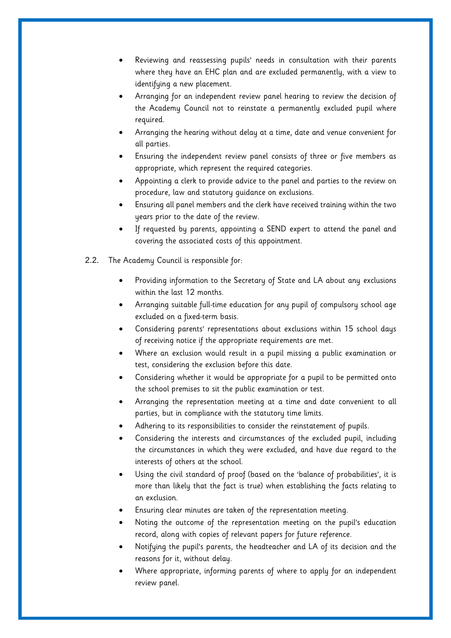- Reviewing and reassessing pupils' needs in consultation with their parents where they have an EHC plan and are excluded permanently, with a view to identifying a new placement.
- Arranging for an independent review panel hearing to review the decision of the Academy Council not to reinstate a permanently excluded pupil where required.
- Arranging the hearing without delay at a time, date and venue convenient for all parties.
- Ensuring the independent review panel consists of three or five members as appropriate, which represent the required categories.
- Appointing a clerk to provide advice to the panel and parties to the review on procedure, law and statutory guidance on exclusions.
- Ensuring all panel members and the clerk have received training within the two years prior to the date of the review.
- If requested by parents, appointing a SEND expert to attend the panel and covering the associated costs of this appointment.
- 2.2. The Academy Council is responsible for:
	- Providing information to the Secretary of State and LA about any exclusions within the last 12 months.
	- Arranging suitable full-time education for any pupil of compulsory school age excluded on a fixed-term basis.
	- Considering parents' representations about exclusions within 15 school days of receiving notice if the appropriate requirements are met.
	- Where an exclusion would result in a pupil missing a public examination or test, considering the exclusion before this date.
	- Considering whether it would be appropriate for a pupil to be permitted onto the school premises to sit the public examination or test.
	- Arranging the representation meeting at a time and date convenient to all parties, but in compliance with the statutory time limits.
	- Adhering to its responsibilities to consider the reinstatement of pupils.
	- Considering the interests and circumstances of the excluded pupil, including the circumstances in which they were excluded, and have due regard to the interests of others at the school.
	- Using the civil standard of proof (based on the 'balance of probabilities', it is more than likely that the fact is true) when establishing the facts relating to an exclusion.
	- Ensuring clear minutes are taken of the representation meeting.
	- Noting the outcome of the representation meeting on the pupil's education record, along with copies of relevant papers for future reference.
	- Notifying the pupil's parents, the headteacher and LA of its decision and the reasons for it, without delay.
	- Where appropriate, informing parents of where to apply for an independent review panel.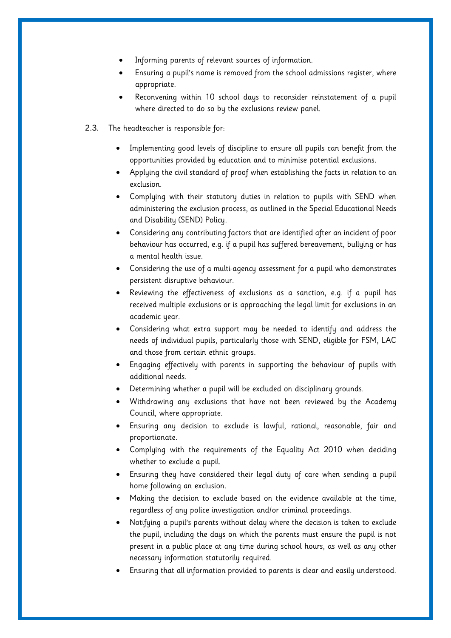- Informing parents of relevant sources of information.
- Ensuring a pupil's name is removed from the school admissions register, where appropriate.
- Reconvening within 10 school days to reconsider reinstatement of a pupil where directed to do so by the exclusions review panel.
- 2.3. The headteacher is responsible for:
	- Implementing good levels of discipline to ensure all pupils can benefit from the opportunities provided by education and to minimise potential exclusions.
	- Applying the civil standard of proof when establishing the facts in relation to an exclusion.
	- Complying with their statutory duties in relation to pupils with SEND when administering the exclusion process, as outlined in the Special Educational Needs and Disability (SEND) Policy.
	- Considering any contributing factors that are identified after an incident of poor behaviour has occurred, e.g. if a pupil has suffered bereavement, bullying or has a mental health issue.
	- Considering the use of a multi-agency assessment for a pupil who demonstrates persistent disruptive behaviour.
	- Reviewing the effectiveness of exclusions as a sanction, e.g. if a pupil has received multiple exclusions or is approaching the legal limit for exclusions in an academic year.
	- Considering what extra support may be needed to identify and address the needs of individual pupils, particularly those with SEND, eligible for FSM, LAC and those from certain ethnic groups.
	- Engaging effectively with parents in supporting the behaviour of pupils with additional needs.
	- Determining whether a pupil will be excluded on disciplinary grounds.
	- Withdrawing any exclusions that have not been reviewed by the Academy Council, where appropriate.
	- Ensuring any decision to exclude is lawful, rational, reasonable, fair and proportionate.
	- Complying with the requirements of the Equality Act 2010 when deciding whether to exclude a pupil.
	- Ensuring they have considered their legal duty of care when sending a pupil home following an exclusion.
	- Making the decision to exclude based on the evidence available at the time, regardless of any police investigation and/or criminal proceedings.
	- Notifying a pupil's parents without delay where the decision is taken to exclude the pupil, including the days on which the parents must ensure the pupil is not present in a public place at any time during school hours, as well as any other necessary information statutorily required.
	- Ensuring that all information provided to parents is clear and easily understood.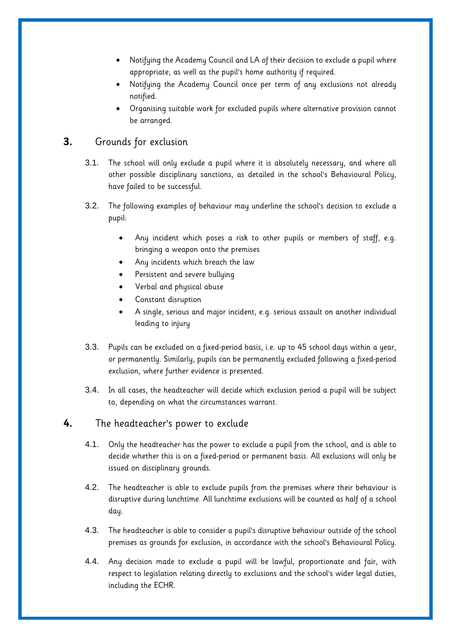- Notifying the Academy Council and LA of their decision to exclude a pupil where appropriate, as well as the pupil's home authority if required.
- Notifying the Academy Council once per term of any exclusions not already notified.
- Organising suitable work for excluded pupils where alternative provision cannot be arranged.

# <span id="page-6-0"></span>**3.** Grounds for exclusion

- 3.1. The school will only exclude a pupil where it is absolutely necessary, and where all other possible disciplinary sanctions, as detailed in the school's Behavioural Policy, have failed to be successful.
- 3.2. The following examples of behaviour may underline the school's decision to exclude a pupil:
	- Any incident which poses a risk to other pupils or members of staff, e.g. bringing a weapon onto the premises
	- Any incidents which breach the law
	- Persistent and severe bullying
	- Verbal and physical abuse
	- Constant disruption
	- A single, serious and major incident, e.g. serious assault on another individual leading to injury
- 3.3. Pupils can be excluded on a fixed-period basis, i.e. up to 45 school days within a year, or permanently. Similarly, pupils can be permanently excluded following a fixed-period exclusion, where further evidence is presented.
- 3.4. In all cases, the headteacher will decide which exclusion period a pupil will be subject to, depending on what the circumstances warrant.

#### <span id="page-6-1"></span>**4.** The headteacher's power to exclude

- 4.1. Only the headteacher has the power to exclude a pupil from the school, and is able to decide whether this is on a fixed-period or permanent basis. All exclusions will only be issued on disciplinary grounds.
- 4.2. The headteacher is able to exclude pupils from the premises where their behaviour is disruptive during lunchtime. All lunchtime exclusions will be counted as half of a school day.
- 4.3. The headteacher is able to consider a pupil's disruptive behaviour outside of the school premises as grounds for exclusion, in accordance with the school's Behavioural Policy.
- 4.4. Any decision made to exclude a pupil will be lawful, proportionate and fair, with respect to legislation relating directly to exclusions and the school's wider legal duties, including the ECHR.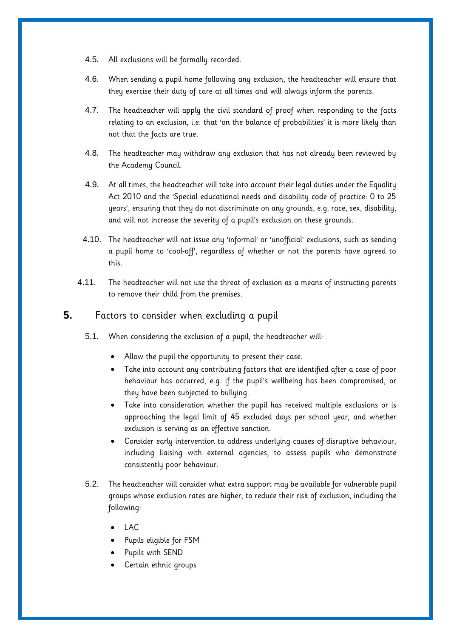- 4.5. All exclusions will be formally recorded.
- 4.6. When sending a pupil home following any exclusion, the headteacher will ensure that they exercise their duty of care at all times and will always inform the parents.
- 4.7. The headteacher will apply the civil standard of proof when responding to the facts relating to an exclusion, i.e. that 'on the balance of probabilities' it is more likely than not that the facts are true.
- 4.8. The headteacher may withdraw any exclusion that has not already been reviewed by the Academy Council.
- 4.9. At all times, the headteacher will take into account their legal duties under the Equality Act 2010 and the 'Special educational needs and disability code of practice: 0 to 25 years', ensuring that they do not discriminate on any grounds, e.g. race, sex, disability, and will not increase the severity of a pupil's exclusion on these grounds.
- 4.10. The headteacher will not issue any 'informal' or 'unofficial' exclusions, such as sending a pupil home to 'cool-off', regardless of whether or not the parents have agreed to this.
- 4.11. The headteacher will not use the threat of exclusion as a means of instructing parents to remove their child from the premises.

#### <span id="page-7-0"></span>**5.** Factors to consider when excluding a pupil

- 5.1. When considering the exclusion of a pupil, the headteacher will:
	- Allow the pupil the opportunity to present their case.
	- Take into account any contributing factors that are identified after a case of poor behaviour has occurred, e.g. if the pupil's wellbeing has been compromised, or they have been subjected to bullying.
	- Take into consideration whether the pupil has received multiple exclusions or is approaching the legal limit of 45 excluded days per school year, and whether exclusion is serving as an effective sanction.
	- Consider early intervention to address underlying causes of disruptive behaviour, including liaising with external agencies, to assess pupils who demonstrate consistently poor behaviour.
- 5.2. The headteacher will consider what extra support may be available for vulnerable pupil groups whose exclusion rates are higher, to reduce their risk of exclusion, including the following:
	- LAC
	- Pupils eligible for FSM
	- Pupils with SEND
	- Certain ethnic groups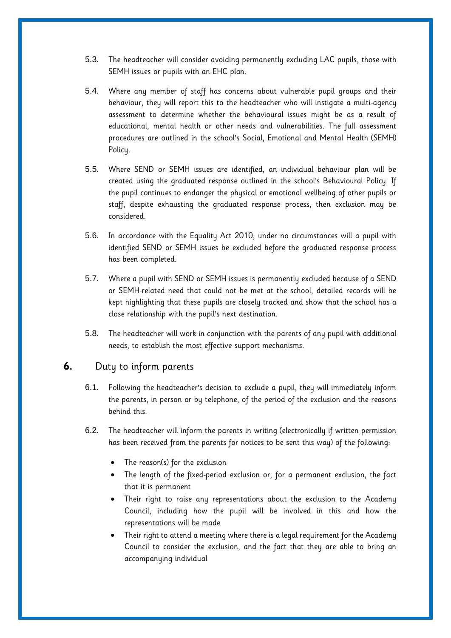- 5.3. The headteacher will consider avoiding permanently excluding LAC pupils, those with SEMH issues or pupils with an EHC plan.
- 5.4. Where any member of staff has concerns about vulnerable pupil groups and their behaviour, they will report this to the headteacher who will instigate a multi-agency assessment to determine whether the behavioural issues might be as a result of educational, mental health or other needs and vulnerabilities. The full assessment procedures are outlined in the school's Social, Emotional and Mental Health (SEMH) Policy.
- 5.5. Where SEND or SEMH issues are identified, an individual behaviour plan will be created using the graduated response outlined in the school's Behavioural Policy. If the pupil continues to endanger the physical or emotional wellbeing of other pupils or staff, despite exhausting the graduated response process, then exclusion may be considered.
- 5.6. In accordance with the Equality Act 2010, under no circumstances will a pupil with identified SEND or SEMH issues be excluded before the graduated response process has been completed.
- 5.7. Where a pupil with SEND or SEMH issues is permanently excluded because of a SEND or SEMH-related need that could not be met at the school, detailed records will be kept highlighting that these pupils are closely tracked and show that the school has a close relationship with the pupil's next destination.
- 5.8. The headteacher will work in conjunction with the parents of any pupil with additional needs, to establish the most effective support mechanisms.

## <span id="page-8-0"></span>**6.** Duty to inform parents

- 6.1. Following the headteacher's decision to exclude a pupil, they will immediately inform the parents, in person or by telephone, of the period of the exclusion and the reasons behind this.
- 6.2. The headteacher will inform the parents in writing (electronically if written permission has been received from the parents for notices to be sent this way) of the following:
	- The reason(s) for the exclusion
	- The length of the fixed-period exclusion or, for a permanent exclusion, the fact that it is permanent
	- Their right to raise any representations about the exclusion to the Academy Council, including how the pupil will be involved in this and how the representations will be made
	- Their right to attend a meeting where there is a legal requirement for the Academy Council to consider the exclusion, and the fact that they are able to bring an accompanying individual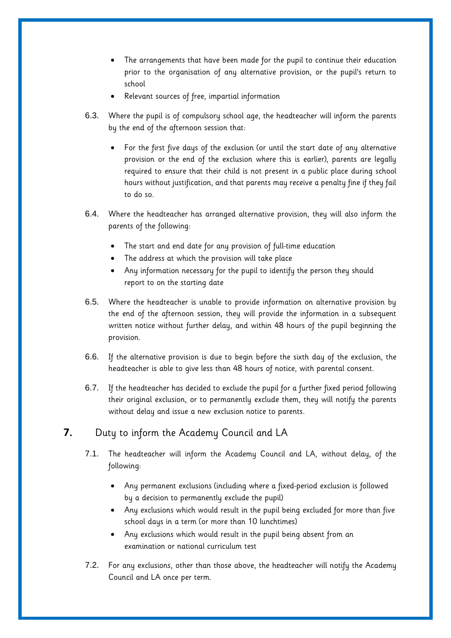- The arrangements that have been made for the pupil to continue their education prior to the organisation of any alternative provision, or the pupil's return to school
- Relevant sources of free, impartial information
- 6.3. Where the pupil is of compulsory school age, the headteacher will inform the parents by the end of the afternoon session that:
	- For the first five days of the exclusion (or until the start date of any alternative provision or the end of the exclusion where this is earlier), parents are legally required to ensure that their child is not present in a public place during school hours without justification, and that parents may receive a penalty fine if they fail to do so.
- 6.4. Where the headteacher has arranged alternative provision, they will also inform the parents of the following:
	- The start and end date for any provision of full-time education
	- The address at which the provision will take place
	- Any information necessary for the pupil to identify the person they should report to on the starting date
- 6.5. Where the headteacher is unable to provide information on alternative provision by the end of the afternoon session, they will provide the information in a subsequent written notice without further delay, and within 48 hours of the pupil beginning the provision.
- 6.6. If the alternative provision is due to begin before the sixth day of the exclusion, the headteacher is able to give less than 48 hours of notice, with parental consent.
- 6.7. If the headteacher has decided to exclude the pupil for a further fixed period following their original exclusion, or to permanently exclude them, they will notify the parents without delay and issue a new exclusion notice to parents.

## <span id="page-9-0"></span>**7.** Duty to inform the Academy Council and LA

- 7.1. The headteacher will inform the Academy Council and LA, without delay, of the following:
	- Any permanent exclusions (including where a fixed-period exclusion is followed by a decision to permanently exclude the pupil)
	- Any exclusions which would result in the pupil being excluded for more than five school days in a term (or more than 10 lunchtimes)
	- Any exclusions which would result in the pupil being absent from an examination or national curriculum test
- 7.2. For any exclusions, other than those above, the headteacher will notify the Academy Council and LA once per term.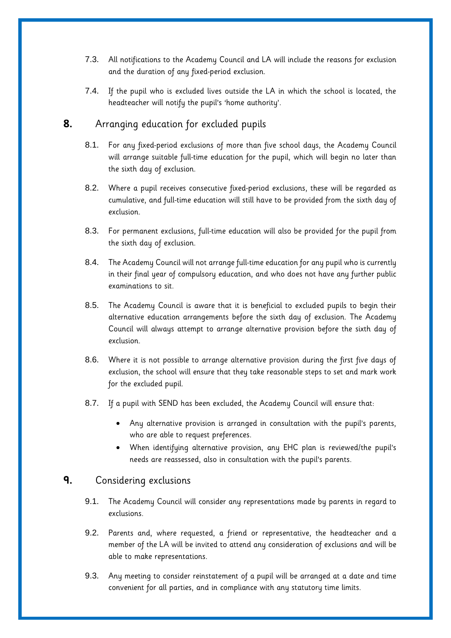- 7.3. All notifications to the Academy Council and LA will include the reasons for exclusion and the duration of any fixed-period exclusion.
- 7.4. If the pupil who is excluded lives outside the LA in which the school is located, the headteacher will notify the pupil's 'home authority'.

# <span id="page-10-0"></span>**8.** Arranging education for excluded pupils

- 8.1. For any fixed-period exclusions of more than five school days, the Academy Council will arrange suitable full-time education for the pupil, which will begin no later than the sixth day of exclusion.
- 8.2. Where a pupil receives consecutive fixed-period exclusions, these will be regarded as cumulative, and full-time education will still have to be provided from the sixth day of exclusion.
- 8.3. For permanent exclusions, full-time education will also be provided for the pupil from the sixth day of exclusion.
- 8.4. The Academy Council will not arrange full-time education for any pupil who is currently in their final year of compulsory education, and who does not have any further public examinations to sit.
- 8.5. The Academy Council is aware that it is beneficial to excluded pupils to begin their alternative education arrangements before the sixth day of exclusion. The Academy Council will always attempt to arrange alternative provision before the sixth day of exclusion.
- 8.6. Where it is not possible to arrange alternative provision during the first five days of exclusion, the school will ensure that they take reasonable steps to set and mark work for the excluded pupil.
- 8.7. If a pupil with SEND has been excluded, the Academy Council will ensure that:
	- Any alternative provision is arranged in consultation with the pupil's parents, who are able to request preferences.
	- When identifying alternative provision, any EHC plan is reviewed/the pupil's needs are reassessed, also in consultation with the pupil's parents.

# <span id="page-10-1"></span>**9.** Considering exclusions

- 9.1. The Academy Council will consider any representations made by parents in regard to exclusions.
- 9.2. Parents and, where requested, a friend or representative, the headteacher and a member of the LA will be invited to attend any consideration of exclusions and will be able to make representations.
- 9.3. Any meeting to consider reinstatement of a pupil will be arranged at a date and time convenient for all parties, and in compliance with any statutory time limits.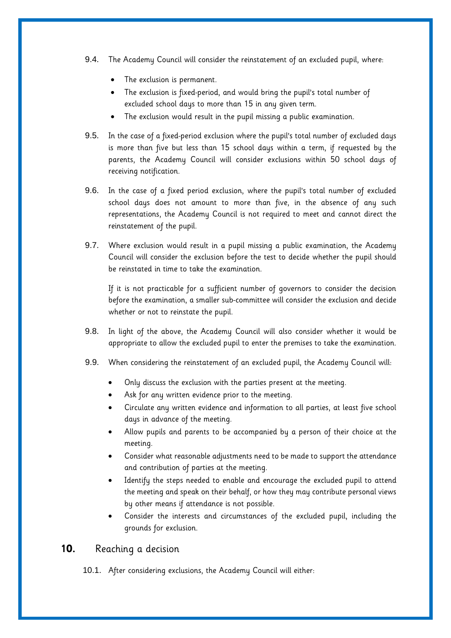- 9.4. The Academy Council will consider the reinstatement of an excluded pupil, where:
	- The exclusion is permanent.
	- The exclusion is fixed-period, and would bring the pupil's total number of excluded school days to more than 15 in any given term.
	- The exclusion would result in the pupil missing a public examination.
- 9.5. In the case of a fixed-period exclusion where the pupil's total number of excluded days is more than five but less than 15 school days within a term, if requested by the parents, the Academy Council will consider exclusions within 50 school days of receiving notification.
- 9.6. In the case of a fixed period exclusion, where the pupil's total number of excluded school days does not amount to more than five, in the absence of any such representations, the Academy Council is not required to meet and cannot direct the reinstatement of the pupil.
- 9.7. Where exclusion would result in a pupil missing a public examination, the Academy Council will consider the exclusion before the test to decide whether the pupil should be reinstated in time to take the examination.

If it is not practicable for a sufficient number of governors to consider the decision before the examination, a smaller sub-committee will consider the exclusion and decide whether or not to reinstate the pupil.

- 9.8. In light of the above, the Academy Council will also consider whether it would be appropriate to allow the excluded pupil to enter the premises to take the examination.
- 9.9. When considering the reinstatement of an excluded pupil, the Academy Council will:
	- Only discuss the exclusion with the parties present at the meeting.
	- Ask for any written evidence prior to the meeting.
	- Circulate any written evidence and information to all parties, at least five school days in advance of the meeting.
	- Allow pupils and parents to be accompanied by a person of their choice at the meeting.
	- Consider what reasonable adjustments need to be made to support the attendance and contribution of parties at the meeting.
	- Identify the steps needed to enable and encourage the excluded pupil to attend the meeting and speak on their behalf, or how they may contribute personal views by other means if attendance is not possible.
	- Consider the interests and circumstances of the excluded pupil, including the grounds for exclusion.

# <span id="page-11-0"></span>**10.** Reaching a decision

10.1. After considering exclusions, the Academy Council will either: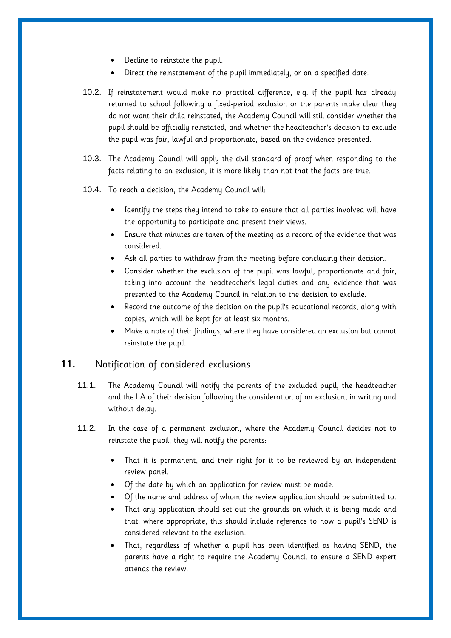- Decline to reinstate the pupil.
- Direct the reinstatement of the pupil immediately, or on a specified date.
- 10.2. If reinstatement would make no practical difference, e.g. if the pupil has already returned to school following a fixed-period exclusion or the parents make clear they do not want their child reinstated, the Academy Council will still consider whether the pupil should be officially reinstated, and whether the headteacher's decision to exclude the pupil was fair, lawful and proportionate, based on the evidence presented.
- 10.3. The Academy Council will apply the civil standard of proof when responding to the facts relating to an exclusion, it is more likely than not that the facts are true.
- 10.4. To reach a decision, the Academy Council will:
	- Identify the steps they intend to take to ensure that all parties involved will have the opportunity to participate and present their views.
	- Ensure that minutes are taken of the meeting as a record of the evidence that was considered.
	- Ask all parties to withdraw from the meeting before concluding their decision.
	- Consider whether the exclusion of the pupil was lawful, proportionate and fair, taking into account the headteacher's legal duties and any evidence that was presented to the Academy Council in relation to the decision to exclude.
	- Record the outcome of the decision on the pupil's educational records, along with copies, which will be kept for at least six months.
	- Make a note of their findings, where they have considered an exclusion but cannot reinstate the pupil.

#### <span id="page-12-0"></span>**11.** Notification of considered exclusions

- 11.1. The Academy Council will notify the parents of the excluded pupil, the headteacher and the LA of their decision following the consideration of an exclusion, in writing and without delay.
- 11.2. In the case of a permanent exclusion, where the Academy Council decides not to reinstate the pupil, they will notify the parents:
	- That it is permanent, and their right for it to be reviewed by an independent review panel.
	- Of the date by which an application for review must be made.
	- Of the name and address of whom the review application should be submitted to.
	- That any application should set out the grounds on which it is being made and that, where appropriate, this should include reference to how a pupil's SEND is considered relevant to the exclusion.
	- That, regardless of whether a pupil has been identified as having SEND, the parents have a right to require the Academy Council to ensure a SEND expert attends the review.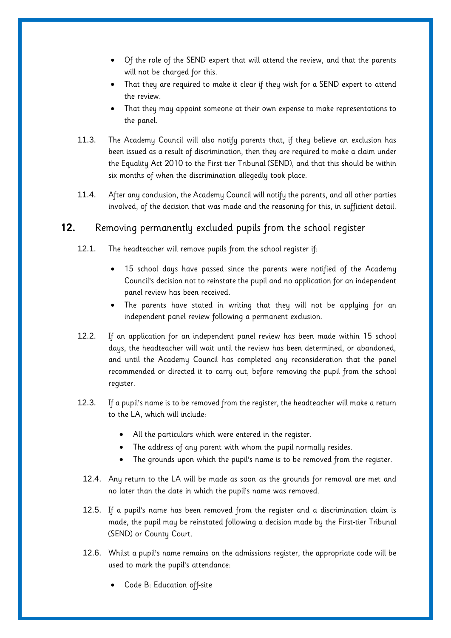- Of the role of the SEND expert that will attend the review, and that the parents will not be charged for this.
- That they are required to make it clear if they wish for a SEND expert to attend the review.
- That they may appoint someone at their own expense to make representations to the panel.
- 11.3. The Academy Council will also notify parents that, if they believe an exclusion has been issued as a result of discrimination, then they are required to make a claim under the Equality Act 2010 to the First-tier Tribunal (SEND), and that this should be within six months of when the discrimination allegedly took place.
- 11.4. After any conclusion, the Academy Council will notify the parents, and all other parties involved, of the decision that was made and the reasoning for this, in sufficient detail.

# <span id="page-13-0"></span>**12.** Removing permanently excluded pupils from the school register

- 12.1. The headteacher will remove pupils from the school register if:
	- 15 school days have passed since the parents were notified of the Academy Council's decision not to reinstate the pupil and no application for an independent panel review has been received.
	- The parents have stated in writing that they will not be applying for an independent panel review following a permanent exclusion.
- 12.2. If an application for an independent panel review has been made within 15 school days, the headteacher will wait until the review has been determined, or abandoned, and until the Academy Council has completed any reconsideration that the panel recommended or directed it to carry out, before removing the pupil from the school register.
- 12.3. If a pupil's name is to be removed from the register, the headteacher will make a return to the LA, which will include:
	- All the particulars which were entered in the register.
	- The address of any parent with whom the pupil normally resides.
	- The grounds upon which the pupil's name is to be removed from the register.
	- 12.4. Any return to the LA will be made as soon as the grounds for removal are met and no later than the date in which the pupil's name was removed.
	- 12.5. If a pupil's name has been removed from the register and a discrimination claim is made, the pupil may be reinstated following a decision made by the First-tier Tribunal (SEND) or County Court.
	- 12.6. Whilst a pupil's name remains on the admissions register, the appropriate code will be used to mark the pupil's attendance:
		- Code B: Education off-site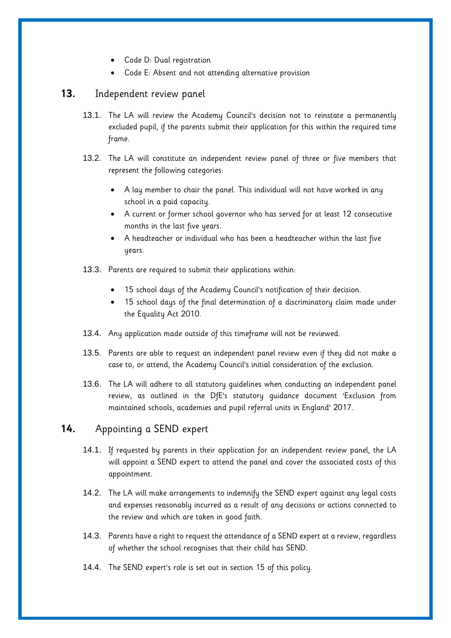- Code D: Dual registration
- Code E: Absent and not attending alternative provision

#### <span id="page-14-0"></span>**13.** Independent review panel

- 13.1. The LA will review the Academy Council's decision not to reinstate a permanently excluded pupil, if the parents submit their application for this within the required time frame.
- 13.2. The LA will constitute an independent review panel of three or five members that represent the following categories:
	- A lay member to chair the panel. This individual will not have worked in any school in a paid capacity.
	- A current or former school governor who has served for at least 12 consecutive months in the last five years.
	- A headteacher or individual who has been a headteacher within the last five years.
- 13.3. Parents are required to submit their applications within:
	- 15 school days of the Academy Council's notification of their decision.
	- 15 school days of the final determination of a discriminatory claim made under the Equality Act 2010.
- 13.4. Any application made outside of this timeframe will not be reviewed.
- 13.5. Parents are able to request an independent panel review even if they did not make a case to, or attend, the Academy Council's initial consideration of the exclusion.
- 13.6. The LA will adhere to all statutory guidelines when conducting an independent panel review, as outlined in the DfE's statutory guidance document 'Exclusion from maintained schools, academies and pupil referral units in England' 2017.

## <span id="page-14-1"></span>**14.** Appointing a SEND expert

- 14.1. If requested by parents in their application for an independent review panel, the LA will appoint a SEND expert to attend the panel and cover the associated costs of this appointment.
- 14.2. The LA will make arrangements to indemnify the SEND expert against any legal costs and expenses reasonably incurred as a result of any decisions or actions connected to the review and which are taken in good faith.
- 14.3. Parents have a right to request the attendance of a SEND expert at a review, regardless of whether the school recognises that their child has SEND.
- 14.4. The SEND expert's role is set out in [section 15](#page-15-0) of this policy.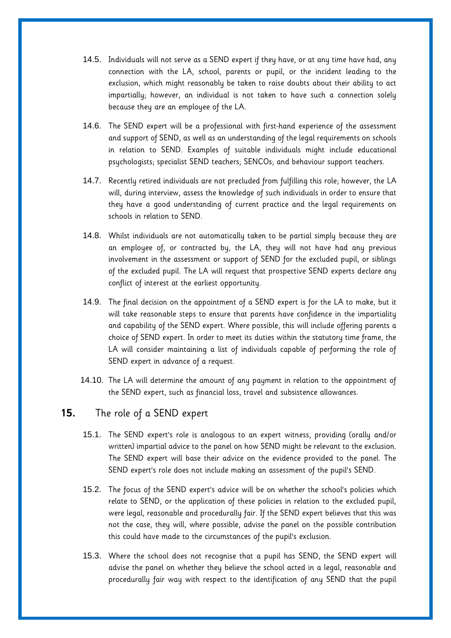- 14.5. Individuals will not serve as a SEND expert if they have, or at any time have had, any connection with the LA, school, parents or pupil, or the incident leading to the exclusion, which might reasonably be taken to raise doubts about their ability to act impartially; however, an individual is not taken to have such a connection solely because they are an employee of the LA.
- 14.6. The SEND expert will be a professional with first-hand experience of the assessment and support of SEND, as well as an understanding of the legal requirements on schools in relation to SEND. Examples of suitable individuals might include educational psychologists; specialist SEND teachers; SENCOs; and behaviour support teachers.
- 14.7. Recently retired individuals are not precluded from fulfilling this role; however, the LA will, during interview, assess the knowledge of such individuals in order to ensure that they have a good understanding of current practice and the legal requirements on schools in relation to SEND.
- 14.8. Whilst individuals are not automatically taken to be partial simply because they are an employee of, or contracted by, the LA, they will not have had any previous involvement in the assessment or support of SEND for the excluded pupil, or siblings of the excluded pupil. The LA will request that prospective SEND experts declare any conflict of interest at the earliest opportunity.
- 14.9. The final decision on the appointment of a SEND expert is for the LA to make, but it will take reasonable steps to ensure that parents have confidence in the impartiality and capability of the SEND expert. Where possible, this will include offering parents a choice of SEND expert. In order to meet its duties within the statutory time frame, the LA will consider maintaining a list of individuals capable of performing the role of SEND expert in advance of a request.
- 14.10. The LA will determine the amount of any payment in relation to the appointment of the SEND expert, such as financial loss, travel and subsistence allowances.

# <span id="page-15-0"></span>**15.** The role of a SEND expert

- 15.1. The SEND expert's role is analogous to an expert witness, providing (orally and/or written) impartial advice to the panel on how SEND might be relevant to the exclusion. The SEND expert will base their advice on the evidence provided to the panel. The SEND expert's role does not include making an assessment of the pupil's SEND.
- 15.2. The focus of the SEND expert's advice will be on whether the school's policies which relate to SEND, or the application of these policies in relation to the excluded pupil, were legal, reasonable and procedurally fair. If the SEND expert believes that this was not the case, they will, where possible, advise the panel on the possible contribution this could have made to the circumstances of the pupil's exclusion.
- 15.3. Where the school does not recognise that a pupil has SEND, the SEND expert will advise the panel on whether they believe the school acted in a legal, reasonable and procedurally fair way with respect to the identification of any SEND that the pupil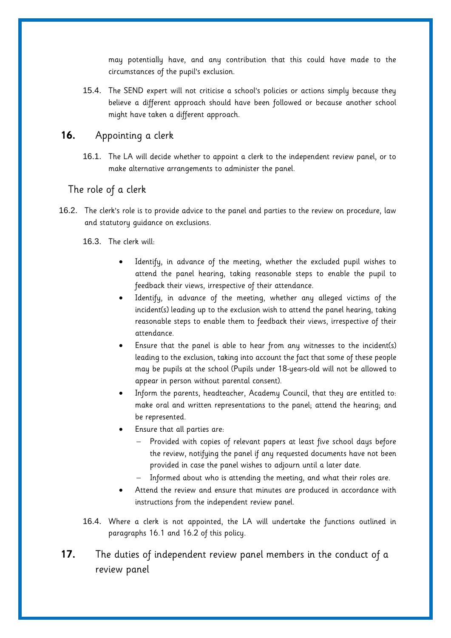may potentially have, and any contribution that this could have made to the circumstances of the pupil's exclusion.

15.4. The SEND expert will not criticise a school's policies or actions simply because they believe a different approach should have been followed or because another school might have taken a different approach.

# <span id="page-16-0"></span>**16.** Appointing a clerk

16.1. The LA will decide whether to appoint a clerk to the independent review panel, or to make alternative arrangements to administer the panel.

#### <span id="page-16-1"></span>The role of a clerk

16.2. The clerk's role is to provide advice to the panel and parties to the review on procedure, law and statutory guidance on exclusions.

16.3. The clerk will:

- Identify, in advance of the meeting, whether the excluded pupil wishes to attend the panel hearing, taking reasonable steps to enable the pupil to feedback their views, irrespective of their attendance.
- Identify, in advance of the meeting, whether any alleged victims of the incident(s) leading up to the exclusion wish to attend the panel hearing, taking reasonable steps to enable them to feedback their views, irrespective of their attendance.
- Ensure that the panel is able to hear from any witnesses to the incident(s) leading to the exclusion, taking into account the fact that some of these people may be pupils at the school (Pupils under 18-years-old will not be allowed to appear in person without parental consent).
- Inform the parents, headteacher, Academy Council, that they are entitled to: make oral and written representations to the panel; attend the hearing; and be represented.
- Ensure that all parties are:
	- Provided with copies of relevant papers at least five school days before the review, notifying the panel if any requested documents have not been provided in case the panel wishes to adjourn until a later date.
	- Informed about who is attending the meeting, and what their roles are.
- Attend the review and ensure that minutes are produced in accordance with instructions from the independent review panel.
- 16.4. Where a clerk is not appointed, the LA will undertake the functions outlined in paragraphs 16.1 and 16.2 of this policy.
- <span id="page-16-2"></span>**17.** The duties of independent review panel members in the conduct of a review panel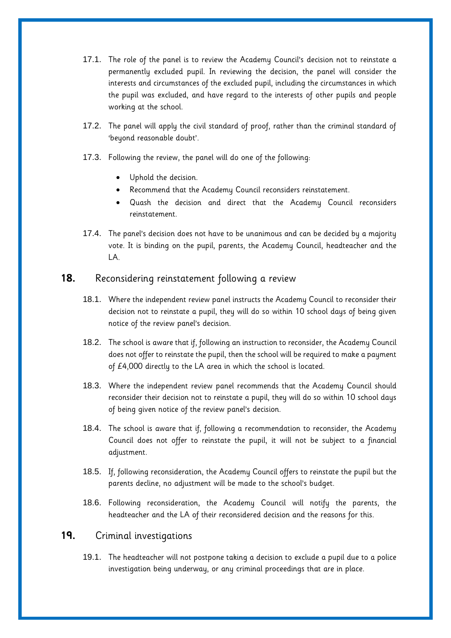- 17.1. The role of the panel is to review the Academy Council's decision not to reinstate a permanently excluded pupil. In reviewing the decision, the panel will consider the interests and circumstances of the excluded pupil, including the circumstances in which the pupil was excluded, and have regard to the interests of other pupils and people working at the school.
- 17.2. The panel will apply the civil standard of proof, rather than the criminal standard of 'beyond reasonable doubt'.
- 17.3. Following the review, the panel will do one of the following:
	- Uphold the decision.
	- Recommend that the Academy Council reconsiders reinstatement.
	- Quash the decision and direct that the Academy Council reconsiders reinstatement.
- 17.4. The panel's decision does not have to be unanimous and can be decided by a majority vote. It is binding on the pupil, parents, the Academy Council, headteacher and the LA.

#### <span id="page-17-0"></span>**18.** Reconsidering reinstatement following a review

- 18.1. Where the independent review panel instructs the Academy Council to reconsider their decision not to reinstate a pupil, they will do so within 10 school days of being given notice of the review panel's decision.
- 18.2. The school is aware that if, following an instruction to reconsider, the Academy Council does not offer to reinstate the pupil, then the school will be required to make a payment of £4,000 directly to the LA area in which the school is located.
- 18.3. Where the independent review panel recommends that the Academy Council should reconsider their decision not to reinstate a pupil, they will do so within 10 school days of being given notice of the review panel's decision.
- 18.4. The school is aware that if, following a recommendation to reconsider, the Academy Council does not offer to reinstate the pupil, it will not be subject to a financial adjustment.
- 18.5. If, following reconsideration, the Academy Council offers to reinstate the pupil but the parents decline, no adjustment will be made to the school's budget.
- 18.6. Following reconsideration, the Academy Council will notify the parents, the headteacher and the LA of their reconsidered decision and the reasons for this.

# <span id="page-17-1"></span>**19.** Criminal investigations

19.1. The headteacher will not postpone taking a decision to exclude a pupil due to a police investigation being underway, or any criminal proceedings that are in place.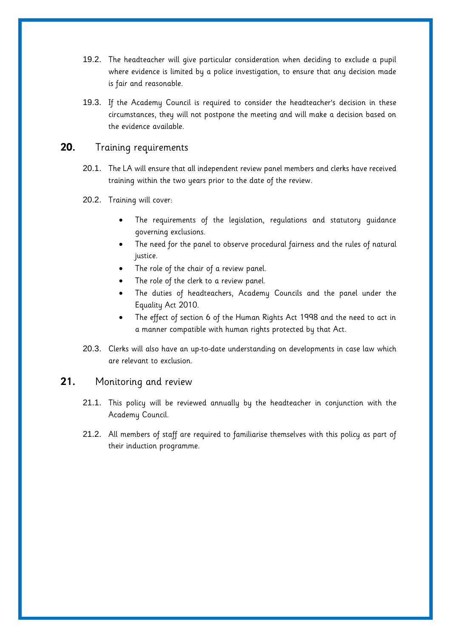- 19.2. The headteacher will give particular consideration when deciding to exclude a pupil where evidence is limited by a police investigation, to ensure that any decision made is fair and reasonable.
- 19.3. If the Academy Council is required to consider the headteacher's decision in these circumstances, they will not postpone the meeting and will make a decision based on the evidence available.

#### <span id="page-18-0"></span>**20.** Training requirements

- 20.1. The LA will ensure that all independent review panel members and clerks have received training within the two years prior to the date of the review.
- 20.2. Training will cover:
	- The requirements of the legislation, regulations and statutory guidance governing exclusions.
	- The need for the panel to observe procedural fairness and the rules of natural justice.
	- The role of the chair of a review panel.
	- The role of the clerk to a review panel.
	- The duties of headteachers, Academy Councils and the panel under the Equality Act 2010.
	- The effect of section 6 of the Human Rights Act 1998 and the need to act in a manner compatible with human rights protected by that Act.
- 20.3. Clerks will also have an up-to-date understanding on developments in case law which are relevant to exclusion.

#### <span id="page-18-1"></span>**21.** Monitoring and review

- 21.1. This policy will be reviewed annually by the headteacher in conjunction with the Academy Council.
- 21.2. All members of staff are required to familiarise themselves with this policy as part of their induction programme.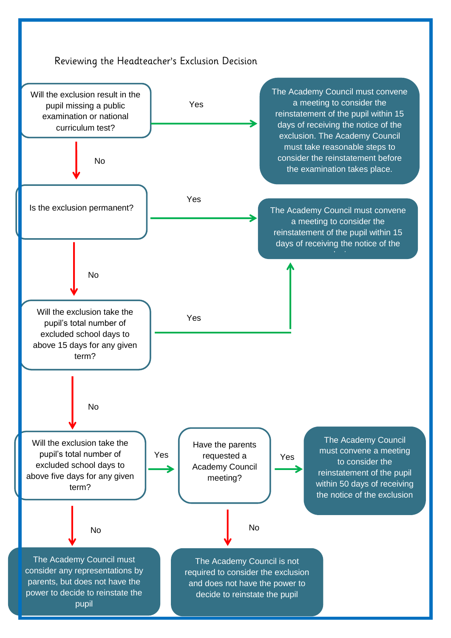<span id="page-19-1"></span><span id="page-19-0"></span>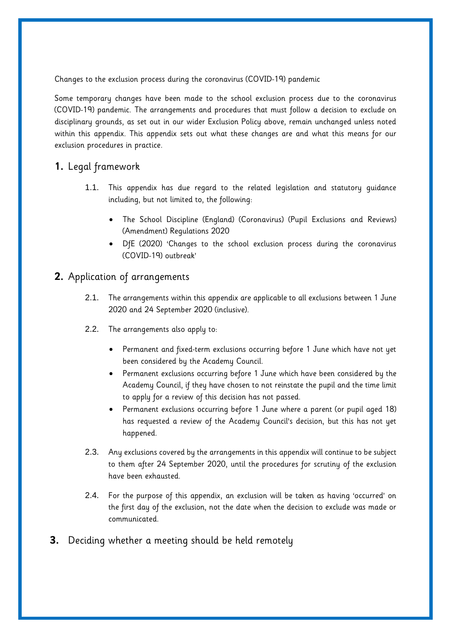Changes to the exclusion process during the coronavirus (COVID-19) pandemic

Some temporary changes have been made to the school exclusion process due to the coronavirus (COVID-19) pandemic. The arrangements and procedures that must follow a decision to exclude on disciplinary grounds, as set out in our wider Exclusion Policy above, remain unchanged unless noted within this appendix. This appendix sets out what these changes are and what this means for our exclusion procedures in practice.

# **1.** Legal framework

- 1.1. This appendix has due regard to the related legislation and statutory guidance including, but not limited to, the following:
	- The School Discipline (England) (Coronavirus) (Pupil Exclusions and Reviews) (Amendment) Regulations 2020
	- DfE (2020) 'Changes to the school exclusion process during the coronavirus (COVID-19) outbreak'

# **2.** Application of arrangements

- 2.1. The arrangements within this appendix are applicable to all exclusions between 1 June 2020 and 24 September 2020 (inclusive).
- 2.2. The arrangements also apply to:
	- Permanent and fixed-term exclusions occurring before 1 June which have not yet been considered by the Academy Council.
	- Permanent exclusions occurring before 1 June which have been considered by the Academy Council, if they have chosen to not reinstate the pupil and the time limit to apply for a review of this decision has not passed.
	- Permanent exclusions occurring before 1 June where a parent (or pupil aged 18) has requested a review of the Academy Council's decision, but this has not yet happened.
- 2.3. Any exclusions covered by the arrangements in this appendix will continue to be subject to them after 24 September 2020, until the procedures for scrutiny of the exclusion have been exhausted.
- 2.4. For the purpose of this appendix, an exclusion will be taken as having 'occurred' on the first day of the exclusion, not the date when the decision to exclude was made or communicated.
- **3.** Deciding whether a meeting should be held remotely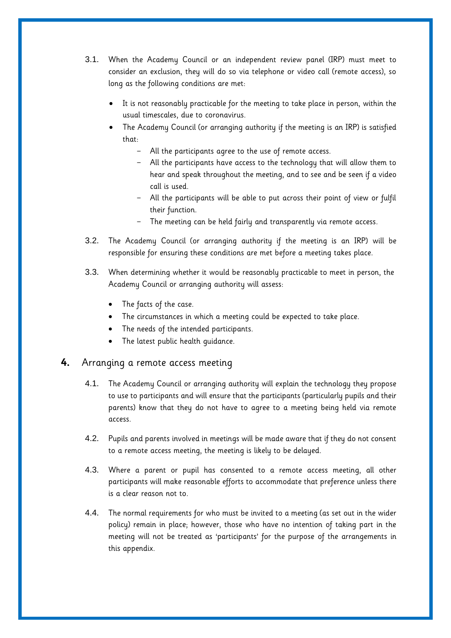- 3.1. When the Academy Council or an independent review panel (IRP) must meet to consider an exclusion, they will do so via telephone or video call (remote access), so long as the following conditions are met:
	- It is not reasonably practicable for the meeting to take place in person, within the usual timescales, due to coronavirus.
	- The Academy Council (or arranging authority if the meeting is an IRP) is satisfied that:
		- All the participants agree to the use of remote access.
		- All the participants have access to the technology that will allow them to hear and speak throughout the meeting, and to see and be seen if a video call is used.
		- All the participants will be able to put across their point of view or fulfil their function.
		- The meeting can be held fairly and transparently via remote access.
- 3.2. The Academy Council (or arranging authority if the meeting is an IRP) will be responsible for ensuring these conditions are met before a meeting takes place.
- 3.3. When determining whether it would be reasonably practicable to meet in person, the Academy Council or arranging authority will assess:
	- The facts of the case.
	- The circumstances in which a meeting could be expected to take place.
	- The needs of the intended participants.
	- The latest public health guidance.

#### **4.** Arranging a remote access meeting

- 4.1. The Academy Council or arranging authority will explain the technology they propose to use to participants and will ensure that the participants (particularly pupils and their parents) know that they do not have to agree to a meeting being held via remote access.
- 4.2. Pupils and parents involved in meetings will be made aware that if they do not consent to a remote access meeting, the meeting is likely to be delayed.
- 4.3. Where a parent or pupil has consented to a remote access meeting, all other participants will make reasonable efforts to accommodate that preference unless there is a clear reason not to.
- 4.4. The normal requirements for who must be invited to a meeting (as set out in the wider policy) remain in place; however, those who have no intention of taking part in the meeting will not be treated as 'participants' for the purpose of the arrangements in this appendix.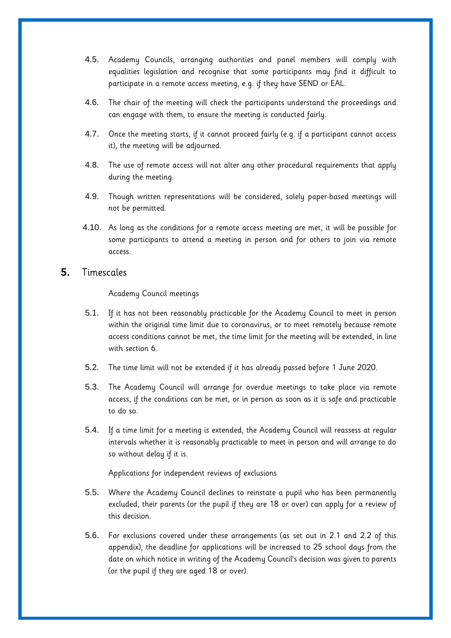- 4.5. Academy Councils, arranging authorities and panel members will comply with equalities legislation and recognise that some participants may find it difficult to participate in a remote access meeting, e.g. if they have SEND or EAL.
- 4.6. The chair of the meeting will check the participants understand the proceedings and can engage with them, to ensure the meeting is conducted fairly.
- 4.7. Once the meeting starts, if it cannot proceed fairly (e.g. if a participant cannot access it), the meeting will be adjourned.
- 4.8. The use of remote access will not alter any other procedural requirements that apply during the meeting.
- 4.9. Though written representations will be considered, solely paper-based meetings will not be permitted.
- 4.10. As long as the conditions for a remote access meeting are met, it will be possible for some participants to attend a meeting in person and for others to join via remote access.

#### **5.** Timescales

#### Academy Council meetings

- 5.1. If it has not been reasonably practicable for the Academy Council to meet in person within the original time limit due to coronavirus, or to meet remotely because remote access conditions cannot be met, the time limit for the meeting will be extended, in line with [section 6.](#page-23-0)
- 5.2. The time limit will not be extended if it has already passed before 1 June 2020.
- 5.3. The Academy Council will arrange for overdue meetings to take place via remote access, if the conditions can be met, or in person as soon as it is safe and practicable to do so.
- 5.4. If a time limit for a meeting is extended, the Academy Council will reassess at regular intervals whether it is reasonably practicable to meet in person and will arrange to do so without delay if it is.

#### Applications for independent reviews of exclusions

- 5.5. Where the Academy Council declines to reinstate a pupil who has been permanently excluded, their parents (or the pupil if they are 18 or over) can apply for a review of this decision.
- 5.6. For exclusions covered under these arrangements (as set out in 2.1 and 2.2 of this appendix), the deadline for applications will be increased to 25 school days from the date on which notice in writing of the Academy Council's decision was given to parents (or the pupil if they are aged 18 or over).